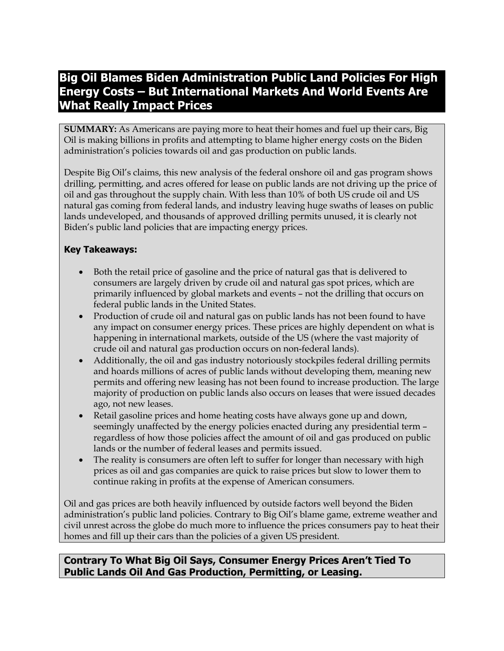# **Big Oil Blames Biden Administration Public Land Policies For High Energy Costs – But International Markets And World Events Are What Really Impact Prices**

**SUMMARY:** As Americans are paying more to heat their homes and fuel up their cars, Big Oil is making billions in profits and attempting to blame higher energy costs on the Biden administration's policies towards oil and gas production on public lands.

Despite Big Oil's claims, this new analysis of the federal onshore oil and gas program shows drilling, permitting, and acres offered for lease on public lands are not driving up the price of oil and gas throughout the supply chain. With less than 10% of both US crude oil and US natural gas coming from federal lands, and industry leaving huge swaths of leases on public lands undeveloped, and thousands of approved drilling permits unused, it is clearly not Biden's public land policies that are impacting energy prices.

#### **Key Takeaways:**

- Both the retail price of gasoline and the price of natural gas that is delivered to consumers are largely driven by crude oil and natural gas spot prices, which are primarily influenced by global markets and events – not the drilling that occurs on federal public lands in the United States.
- Production of crude oil and natural gas on public lands has not been found to have any impact on consumer energy prices. These prices are highly dependent on what is happening in international markets, outside of the US (where the vast majority of crude oil and natural gas production occurs on non-federal lands).
- Additionally, the oil and gas industry notoriously stockpiles federal drilling permits and hoards millions of acres of public lands without developing them, meaning new permits and offering new leasing has not been found to increase production. The large majority of production on public lands also occurs on leases that were issued decades ago, not new leases.
- Retail gasoline prices and home heating costs have always gone up and down, seemingly unaffected by the energy policies enacted during any presidential term – regardless of how those policies affect the amount of oil and gas produced on public lands or the number of federal leases and permits issued.
- The reality is consumers are often left to suffer for longer than necessary with high prices as oil and gas companies are quick to raise prices but slow to lower them to continue raking in profits at the expense of American consumers.

Oil and gas prices are both heavily influenced by outside factors well beyond the Biden administration's public land policies. Contrary to Big Oil's blame game, extreme weather and civil unrest across the globe do much more to influence the prices consumers pay to heat their homes and fill up their cars than the policies of a given US president.

#### **Contrary To What Big Oil Says, Consumer Energy Prices Aren't Tied To Public Lands Oil And Gas Production, Permitting, or Leasing.**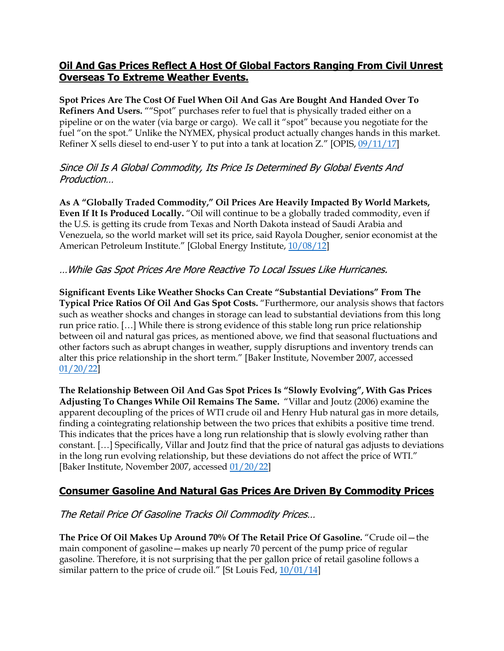### **Oil And Gas Prices Reflect A Host Of Global Factors Ranging From Civil Unrest Overseas To Extreme Weather Events.**

**Spot Prices Are The Cost Of Fuel When Oil And Gas Are Bought And Handed Over To Refiners And Users.** ""Spot" purchases refer to fuel that is physically traded either on a pipeline or on the water (via barge or cargo). We call it "spot" because you negotiate for the fuel "on the spot." Unlike the NYMEX, physical product actually changes hands in this market. Refiner X sells diesel to end-user Y to put into a tank at location  $Z''$  [OPIS,  $09/11/17$ ]

### Since Oil Is A Global Commodity, Its Price Is Determined By Global Events And Production…

**As A "Globally Traded Commodity," Oil Prices Are Heavily Impacted By World Markets, Even If It Is Produced Locally.** "Oil will continue to be a globally traded commodity, even if the U.S. is getting its crude from Texas and North Dakota instead of Saudi Arabia and Venezuela, so the world market will set its price, said Rayola Dougher, senior economist at the American Petroleum Institute." [Global Energy Institute, 10/08/12]

### …While Gas Spot Prices Are More Reactive To Local Issues Like Hurricanes.

**Significant Events Like Weather Shocks Can Create "Substantial Deviations" From The Typical Price Ratios Of Oil And Gas Spot Costs.** "Furthermore, our analysis shows that factors such as weather shocks and changes in storage can lead to substantial deviations from this long run price ratio. […] While there is strong evidence of this stable long run price relationship between oil and natural gas prices, as mentioned above, we find that seasonal fluctuations and other factors such as abrupt changes in weather, supply disruptions and inventory trends can alter this price relationship in the short term." [Baker Institute, November 2007, accessed 01/20/22]

**The Relationship Between Oil And Gas Spot Prices Is "Slowly Evolving", With Gas Prices Adjusting To Changes While Oil Remains The Same.** "Villar and Joutz (2006) examine the apparent decoupling of the prices of WTI crude oil and Henry Hub natural gas in more details, finding a cointegrating relationship between the two prices that exhibits a positive time trend. This indicates that the prices have a long run relationship that is slowly evolving rather than constant. […] Specifically, Villar and Joutz find that the price of natural gas adjusts to deviations in the long run evolving relationship, but these deviations do not affect the price of WTI." [Baker Institute, November 2007, accessed 01/20/22]

### **Consumer Gasoline And Natural Gas Prices Are Driven By Commodity Prices**

### The Retail Price Of Gasoline Tracks Oil Commodity Prices…

**The Price Of Oil Makes Up Around 70% Of The Retail Price Of Gasoline.** "Crude oil—the main component of gasoline—makes up nearly 70 percent of the pump price of regular gasoline. Therefore, it is not surprising that the per gallon price of retail gasoline follows a similar pattern to the price of crude oil." [St Louis Fed, 10/01/14]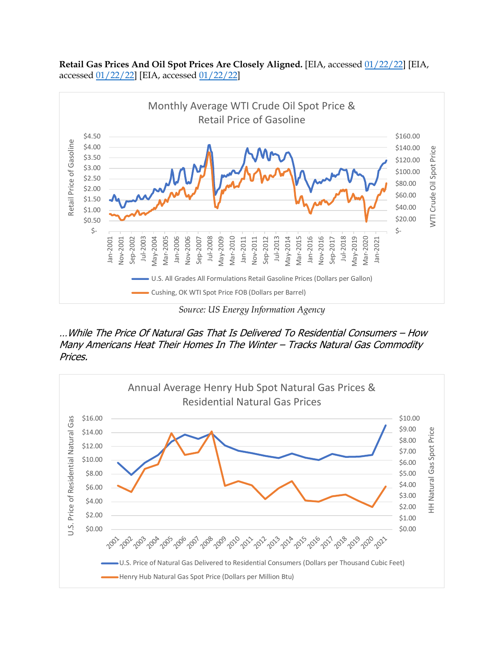



*Source: US Energy Information Agency*

…While The Price Of Natural Gas That Is Delivered To Residential Consumers – How Many Americans Heat Their Homes In The Winter – Tracks Natural Gas Commodity Prices.

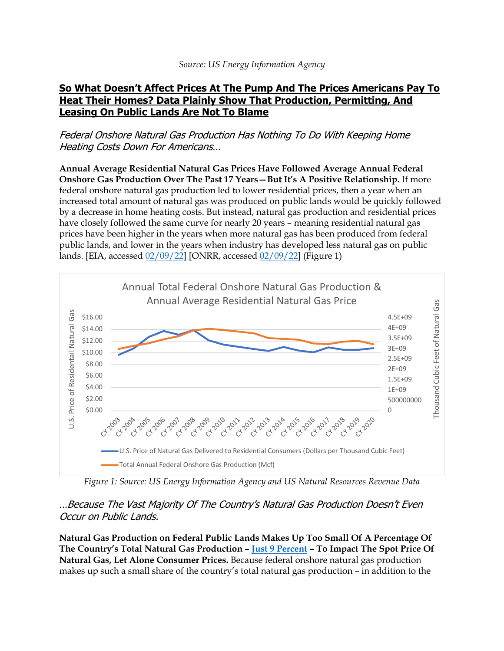# **So What Doesn't Affect Prices At The Pump And The Prices Americans Pay To Heat Their Homes? Data Plainly Show That Production, Permitting, And Leasing On Public Lands Are Not To Blame**

Federal Onshore Natural Gas Production Has Nothing To Do With Keeping Home Heating Costs Down For Americans…

**Annual Average Residential Natural Gas Prices Have Followed Average Annual Federal Onshore Gas Production Over The Past 17 Years—But It's A Positive Relationship.** If more federal onshore natural gas production led to lower residential prices, then a year when an increased total amount of natural gas was produced on public lands would be quickly followed by a decrease in home heating costs. But instead, natural gas production and residential prices have closely followed the same curve for nearly 20 years – meaning residential natural gas prices have been higher in the years when more natural gas has been produced from federal public lands, and lower in the years when industry has developed less natural gas on public lands. [EIA, accessed 02/09/22] [ONRR, accessed 02/09/22] (Figure 1)



*Figure 1: Source: US Energy Information Agency and US Natural Resources Revenue Data*

# …Because The Vast Majority Of The Country's Natural Gas Production Doesn't Even Occur on Public Lands.

**Natural Gas Production on Federal Public Lands Makes Up Too Small Of A Percentage Of The Country's Total Natural Gas Production – Just 9 Percent – To Impact The Spot Price Of Natural Gas, Let Alone Consumer Prices.** Because federal onshore natural gas production makes up such a small share of the country's total natural gas production – in addition to the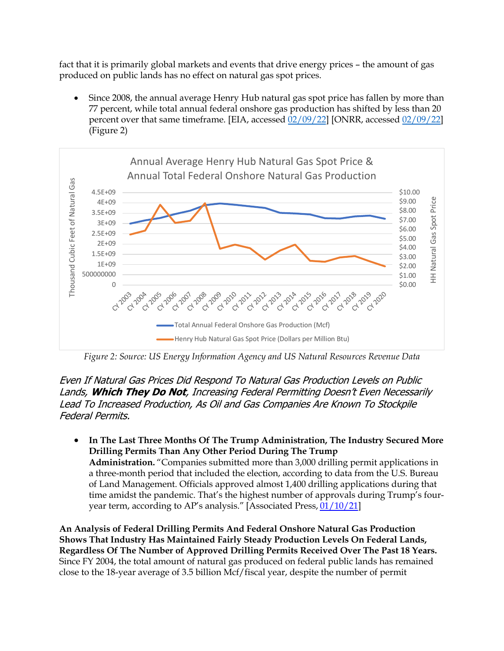fact that it is primarily global markets and events that drive energy prices – the amount of gas produced on public lands has no effect on natural gas spot prices.

• Since 2008, the annual average Henry Hub natural gas spot price has fallen by more than 77 percent, while total annual federal onshore gas production has shifted by less than 20 percent over that same timeframe. [EIA, accessed 02/09/22] [ONRR, accessed 02/09/22] (Figure 2)



*Figure 2: Source: US Energy Information Agency and US Natural Resources Revenue Data*

Even If Natural Gas Prices Did Respond To Natural Gas Production Levels on Public Lands, **Which They Do Not**, Increasing Federal Permitting Doesn't Even Necessarily Lead To Increased Production, As Oil and Gas Companies Are Known To Stockpile Federal Permits.

• **In The Last Three Months Of The Trump Administration, The Industry Secured More Drilling Permits Than Any Other Period During The Trump Administration.** "Companies submitted more than 3,000 drilling permit applications in a three-month period that included the election, according to data from the U.S. Bureau of Land Management. Officials approved almost 1,400 drilling applications during that time amidst the pandemic. That's the highest number of approvals during Trump's fouryear term, according to AP's analysis." [Associated Press, 01/10/21]

**An Analysis of Federal Drilling Permits And Federal Onshore Natural Gas Production Shows That Industry Has Maintained Fairly Steady Production Levels On Federal Lands, Regardless Of The Number of Approved Drilling Permits Received Over The Past 18 Years.**  Since FY 2004, the total amount of natural gas produced on federal public lands has remained close to the 18-year average of 3.5 billion Mcf/fiscal year, despite the number of permit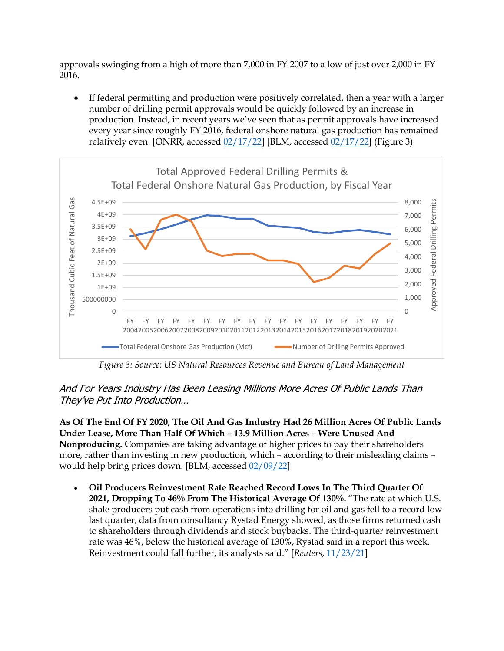approvals swinging from a high of more than 7,000 in FY 2007 to a low of just over 2,000 in FY 2016.

If federal permitting and production were positively correlated, then a year with a larger number of drilling permit approvals would be quickly followed by an increase in production. Instead, in recent years we've seen that as permit approvals have increased every year since roughly FY 2016, federal onshore natural gas production has remained relatively even. [ONRR, accessed  $02/17/22$ ] [BLM, accessed  $02/17/22$ ] (Figure 3)



*Figure 3: Source: US Natural Resources Revenue and Bureau of Land Management*

# And For Years Industry Has Been Leasing Millions More Acres Of Public Lands Than They've Put Into Production…

**As Of The End Of FY 2020, The Oil And Gas Industry Had 26 Million Acres Of Public Lands Under Lease, More Than Half Of Which – 13.9 Million Acres – Were Unused And Nonproducing.** Companies are taking advantage of higher prices to pay their shareholders more, rather than investing in new production, which – according to their misleading claims – would help bring prices down. [BLM, accessed 02/09/22]

• **Oil Producers Reinvestment Rate Reached Record Lows In The Third Quarter Of 2021, Dropping To 46% From The Historical Average Of 130%.** "The rate at which U.S. shale producers put cash from operations into drilling for oil and gas fell to a record low last quarter, data from consultancy Rystad Energy showed, as those firms returned cash to shareholders through dividends and stock buybacks. The third-quarter reinvestment rate was 46%, below the historical average of 130%, Rystad said in a report this week. Reinvestment could fall further, its analysts said." [*Reuters*, 11/23/21]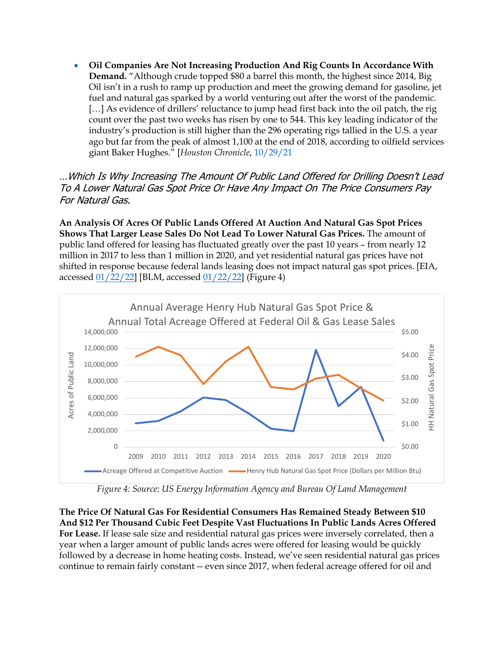• **Oil Companies Are Not Increasing Production And Rig Counts In Accordance With Demand.** "Although crude topped \$80 a barrel this month, the highest since 2014, Big Oil isn't in a rush to ramp up production and meet the growing demand for gasoline, jet fuel and natural gas sparked by a world venturing out after the worst of the pandemic. [...] As evidence of drillers' reluctance to jump head first back into the oil patch, the rig count over the past two weeks has risen by one to 544. This key leading indicator of the industry's production is still higher than the 296 operating rigs tallied in the U.S. a year ago but far from the peak of almost 1,100 at the end of 2018, according to oilfield services giant Baker Hughes." [*Houston Chronicle*, 10/29/21

…Which Is Why Increasing The Amount Of Public Land Offered for Drilling Doesn't Lead To A Lower Natural Gas Spot Price Or Have Any Impact On The Price Consumers Pay For Natural Gas.

**An Analysis Of Acres Of Public Lands Offered At Auction And Natural Gas Spot Prices Shows That Larger Lease Sales Do Not Lead To Lower Natural Gas Prices.** The amount of public land offered for leasing has fluctuated greatly over the past 10 years – from nearly 12 million in 2017 to less than 1 million in 2020, and yet residential natural gas prices have not shifted in response because federal lands leasing does not impact natural gas spot prices. [EIA, accessed  $01/22/22$ ] [BLM, accessed  $01/22/22$ ] (Figure 4)



*Figure 4: Source: US Energy Information Agency and Bureau Of Land Management*

**The Price Of Natural Gas For Residential Consumers Has Remained Steady Between \$10 And \$12 Per Thousand Cubic Feet Despite Vast Fluctuations In Public Lands Acres Offered For Lease.** If lease sale size and residential natural gas prices were inversely correlated, then a year when a larger amount of public lands acres were offered for leasing would be quickly followed by a decrease in home heating costs. Instead, we've seen residential natural gas prices continue to remain fairly constant -- even since 2017, when federal acreage offered for oil and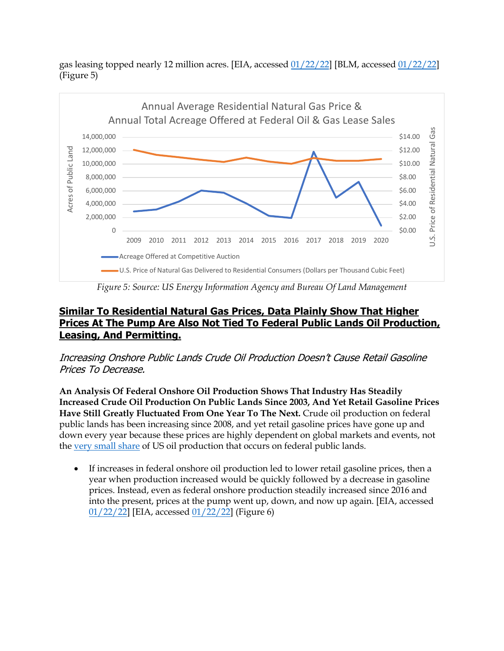gas leasing topped nearly 12 million acres. [EIA, accessed 01/22/22] [BLM, accessed 01/22/22] (Figure 5)



*Figure 5: Source: US Energy Information Agency and Bureau Of Land Management*

# **Similar To Residential Natural Gas Prices, Data Plainly Show That Higher Prices At The Pump Are Also Not Tied To Federal Public Lands Oil Production, Leasing, And Permitting.**

Increasing Onshore Public Lands Crude Oil Production Doesn't Cause Retail Gasoline Prices To Decrease.

**An Analysis Of Federal Onshore Oil Production Shows That Industry Has Steadily Increased Crude Oil Production On Public Lands Since 2003, And Yet Retail Gasoline Prices Have Still Greatly Fluctuated From One Year To The Next.** Crude oil production on federal public lands has been increasing since 2008, and yet retail gasoline prices have gone up and down every year because these prices are highly dependent on global markets and events, not the very small share of US oil production that occurs on federal public lands.

• If increases in federal onshore oil production led to lower retail gasoline prices, then a year when production increased would be quickly followed by a decrease in gasoline prices. Instead, even as federal onshore production steadily increased since 2016 and into the present, prices at the pump went up, down, and now up again. [EIA, accessed 01/22/22] [EIA, accessed 01/22/22] (Figure 6)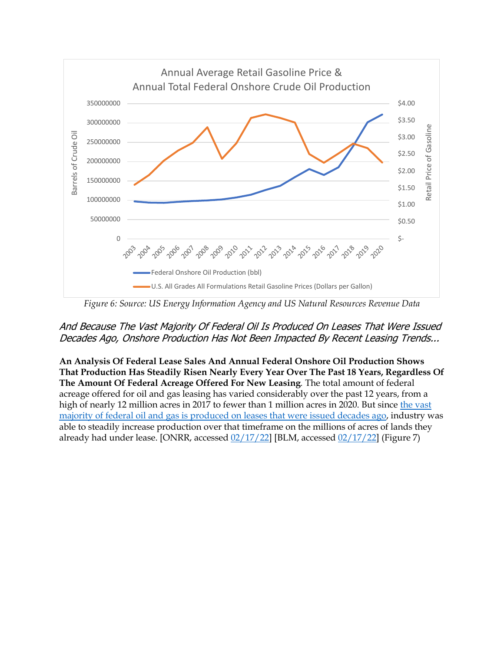

*Figure 6: Source: US Energy Information Agency and US Natural Resources Revenue Data*

### And Because The Vast Majority Of Federal Oil Is Produced On Leases That Were Issued Decades Ago, Onshore Production Has Not Been Impacted By Recent Leasing Trends...

**An Analysis Of Federal Lease Sales And Annual Federal Onshore Oil Production Shows That Production Has Steadily Risen Nearly Every Year Over The Past 18 Years, Regardless Of The Amount Of Federal Acreage Offered For New Leasing***.* The total amount of federal acreage offered for oil and gas leasing has varied considerably over the past 12 years, from a high of nearly 12 million acres in 2017 to fewer than 1 million acres in 2020. But since the vast majority of federal oil and gas is produced on leases that were issued decades ago, industry was able to steadily increase production over that timeframe on the millions of acres of lands they already had under lease. [ONRR, accessed  $02/17/22$ ] [BLM, accessed  $02/17/22$ ] (Figure 7)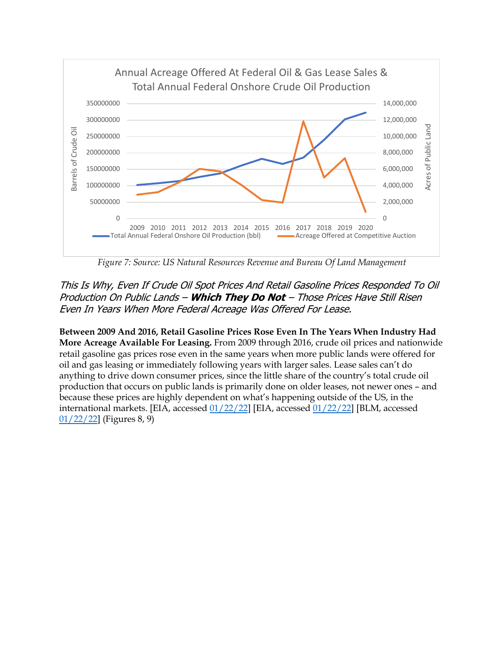

*Figure 7: Source: US Natural Resources Revenue and Bureau Of Land Management*

This Is Why, Even If Crude Oil Spot Prices And Retail Gasoline Prices Responded To Oil Production On Public Lands – **Which They Do Not** – Those Prices Have Still Risen Even In Years When More Federal Acreage Was Offered For Lease.

**Between 2009 And 2016, Retail Gasoline Prices Rose Even In The Years When Industry Had More Acreage Available For Leasing.** From 2009 through 2016, crude oil prices and nationwide retail gasoline gas prices rose even in the same years when more public lands were offered for oil and gas leasing or immediately following years with larger sales. Lease sales can't do anything to drive down consumer prices, since the little share of the country's total crude oil production that occurs on public lands is primarily done on older leases, not newer ones – and because these prices are highly dependent on what's happening outside of the US, in the international markets. [EIA, accessed 01/22/22] [EIA, accessed 01/22/22] [BLM, accessed  $01/22/22$ ] (Figures 8, 9)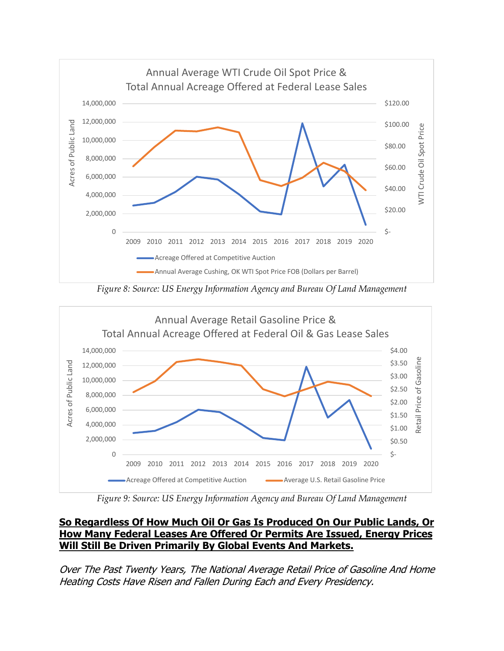

*Figure 8: Source: US Energy Information Agency and Bureau Of Land Management*



*Figure 9: Source: US Energy Information Agency and Bureau Of Land Management*

### **So Regardless Of How Much Oil Or Gas Is Produced On Our Public Lands, Or How Many Federal Leases Are Offered Or Permits Are Issued, Energy Prices Will Still Be Driven Primarily By Global Events And Markets.**

Over The Past Twenty Years, The National Average Retail Price of Gasoline And Home Heating Costs Have Risen and Fallen During Each and Every Presidency.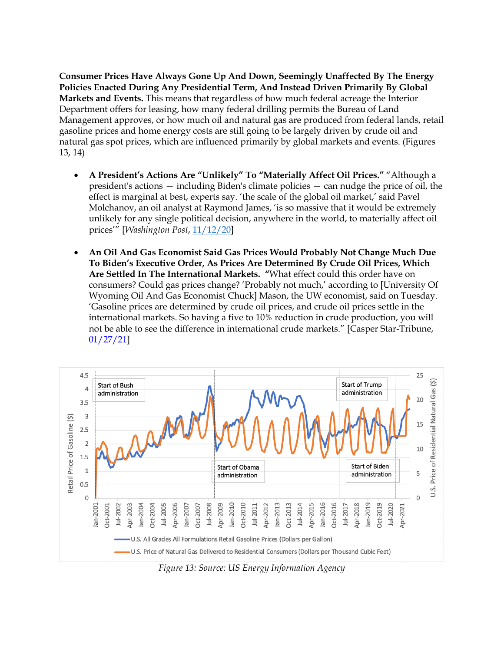**Consumer Prices Have Always Gone Up And Down, Seemingly Unaffected By The Energy Policies Enacted During Any Presidential Term, And Instead Driven Primarily By Global Markets and Events.** This means that regardless of how much federal acreage the Interior Department offers for leasing, how many federal drilling permits the Bureau of Land Management approves, or how much oil and natural gas are produced from federal lands, retail gasoline prices and home energy costs are still going to be largely driven by crude oil and natural gas spot prices, which are influenced primarily by global markets and events. (Figures 13, 14)

- **A President's Actions Are "Unlikely" To "Materially Affect Oil Prices."** "Although a president's actions — including Biden's climate policies — can nudge the price of oil, the effect is marginal at best, experts say. 'the scale of the global oil market,' said Pavel Molchanov, an oil analyst at Raymond James, 'is so massive that it would be extremely unlikely for any single political decision, anywhere in the world, to materially affect oil prices'" [*Washington Post*, 11/12/20]
- **An Oil And Gas Economist Said Gas Prices Would Probably Not Change Much Due To Biden's Executive Order, As Prices Are Determined By Crude Oil Prices, Which Are Settled In The International Markets. "**What effect could this order have on consumers? Could gas prices change? 'Probably not much,' according to [University Of Wyoming Oil And Gas Economist Chuck] Mason, the UW economist, said on Tuesday. 'Gasoline prices are determined by crude oil prices, and crude oil prices settle in the international markets. So having a five to 10% reduction in crude production, you will not be able to see the difference in international crude markets." [Casper Star-Tribune, 01/27/21]



*Figure 13: Source: US Energy Information Agency*